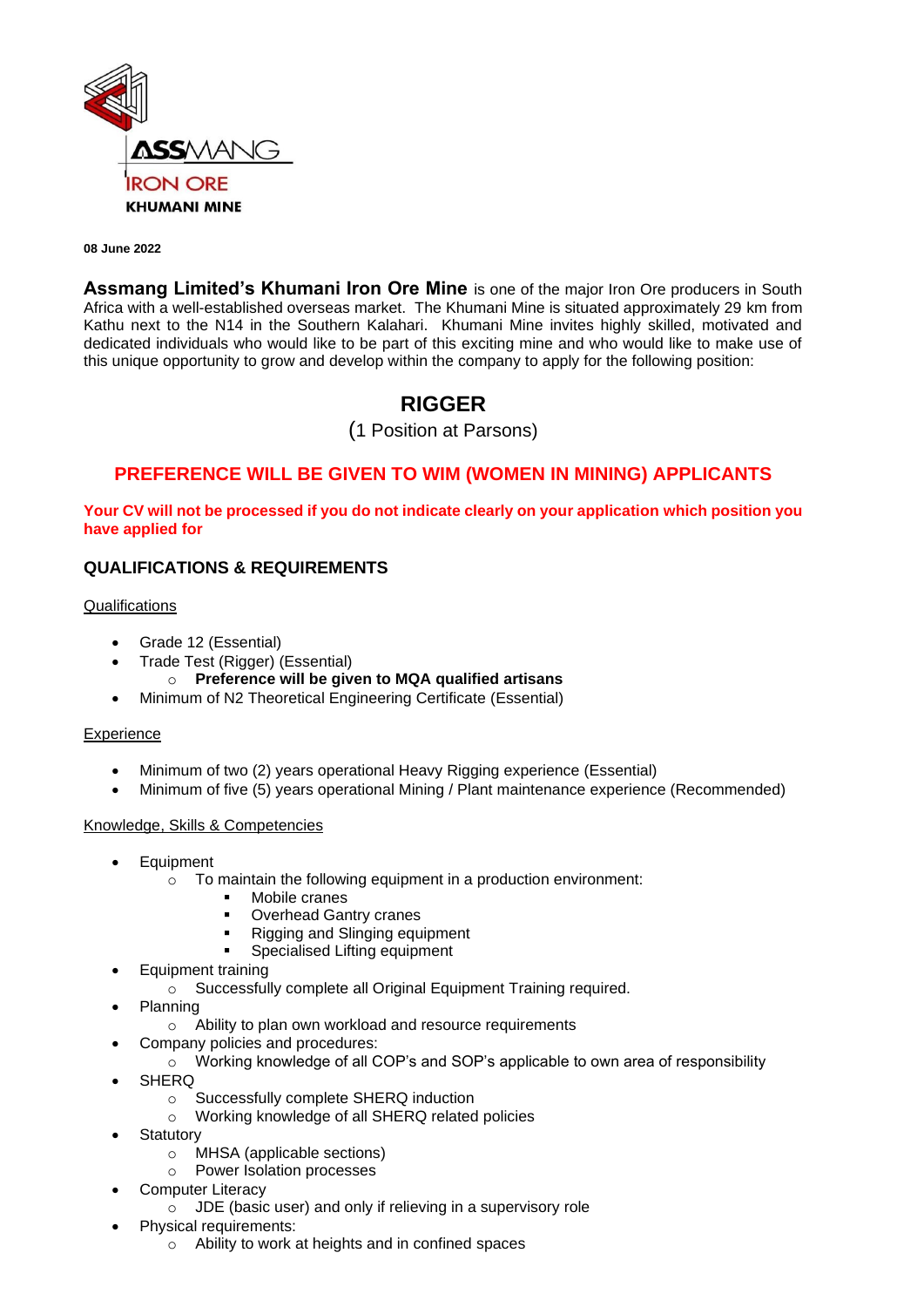

#### **08 June 2022**

**Assmang Limited's Khumani Iron Ore Mine** is one of the major Iron Ore producers in South Africa with a well-established overseas market. The Khumani Mine is situated approximately 29 km from Kathu next to the N14 in the Southern Kalahari. Khumani Mine invites highly skilled, motivated and dedicated individuals who would like to be part of this exciting mine and who would like to make use of this unique opportunity to grow and develop within the company to apply for the following position:

# **RIGGER**

(1 Position at Parsons)

## **PREFERENCE WILL BE GIVEN TO WIM (WOMEN IN MINING) APPLICANTS**

#### **Your CV will not be processed if you do not indicate clearly on your application which position you have applied for**

#### **QUALIFICATIONS & REQUIREMENTS**

#### **Qualifications**

- Grade 12 (Essential)
	- Trade Test (Rigger) (Essential)
		- o **Preference will be given to MQA qualified artisans**
- Minimum of N2 Theoretical Engineering Certificate (Essential)

#### **Experience**

- Minimum of two (2) years operational Heavy Rigging experience (Essential)
- Minimum of five (5) years operational Mining / Plant maintenance experience (Recommended)

#### Knowledge, Skills & Competencies

- **Equipment** 
	- $\circ$  To maintain the following equipment in a production environment:
		- Mobile cranes
		- **Overhead Gantry cranes**
		- Rigging and Slinging equipment
		- Specialised Lifting equipment
- Equipment training
	- o Successfully complete all Original Equipment Training required.
- Planning
	- o Ability to plan own workload and resource requirements
- Company policies and procedures:
	- o Working knowledge of all COP's and SOP's applicable to own area of responsibility
- **SHERQ** 
	- o Successfully complete SHERQ induction
	- o Working knowledge of all SHERQ related policies
- **Statutory** 
	- o MHSA (applicable sections)
	- o Power Isolation processes
- Computer Literacy
	- o JDE (basic user) and only if relieving in a supervisory role
- Physical requirements:
	- o Ability to work at heights and in confined spaces